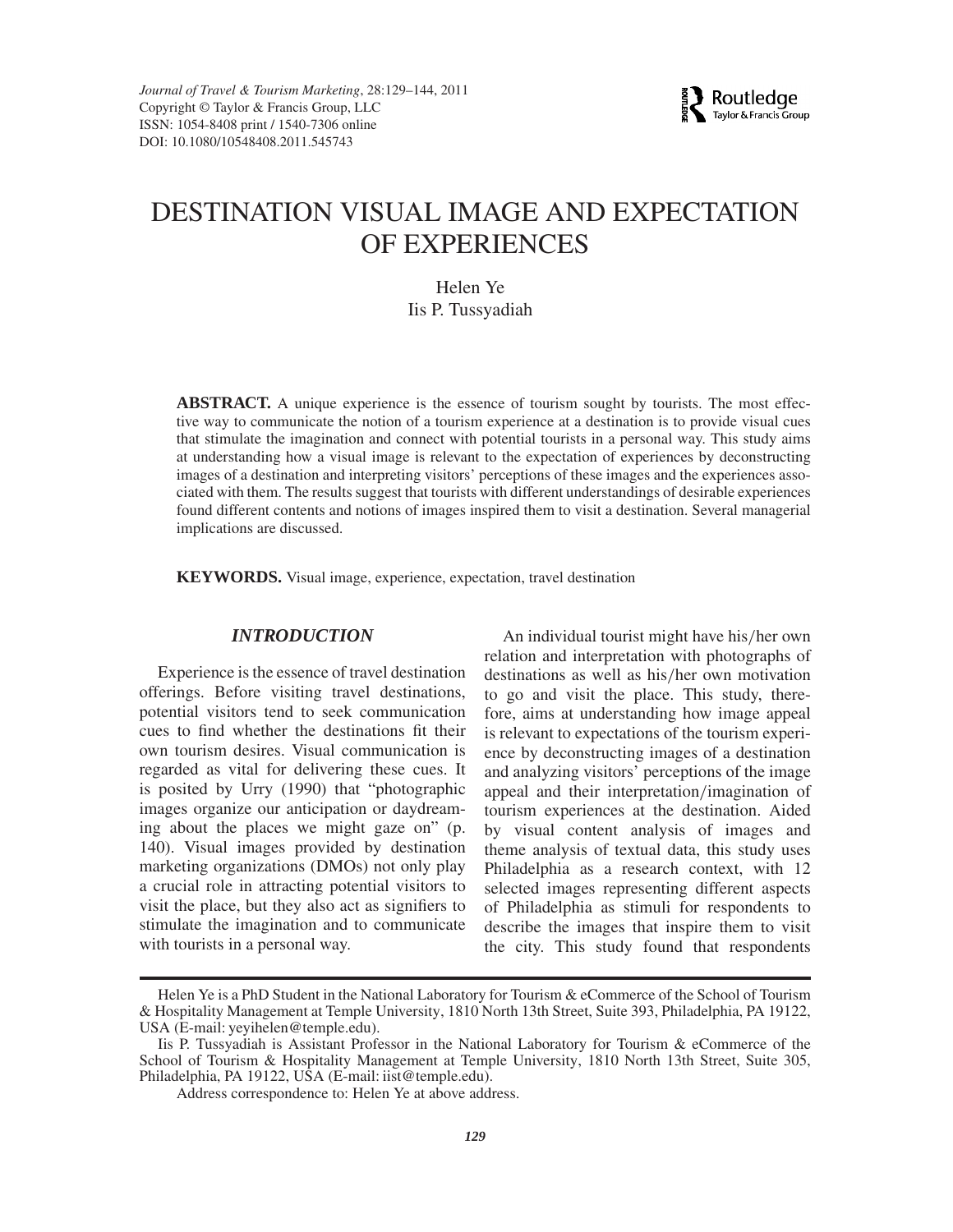

# DESTINATION VISUAL IMAGE AND EXPECTATION OF EXPERIENCES

Helen Ye Iis P. Tussyadiah

**ABSTRACT.** A unique experience is the essence of tourism sought by tourists. The most effective way to communicate the notion of a tourism experience at a destination is to provide visual cues that stimulate the imagination and connect with potential tourists in a personal way. This study aims at understanding how a visual image is relevant to the expectation of experiences by deconstructing images of a destination and interpreting visitors' perceptions of these images and the experiences associated with them. The results suggest that tourists with different understandings of desirable experiences found different contents and notions of images inspired them to visit a destination. Several managerial implications are discussed.

**KEYWORDS.** Visual image, experience, expectation, travel destination

#### *INTRODUCTION*

Experience is the essence of travel destination offerings. Before visiting travel destinations, potential visitors tend to seek communication cues to find whether the destinations fit their own tourism desires. Visual communication is regarded as vital for delivering these cues. It is posited by Urry (1990) that "photographic images organize our anticipation or daydreaming about the places we might gaze on" (p. 140). Visual images provided by destination marketing organizations (DMOs) not only play a crucial role in attracting potential visitors to visit the place, but they also act as signifiers to stimulate the imagination and to communicate with tourists in a personal way.

An individual tourist might have his/her own relation and interpretation with photographs of destinations as well as his/her own motivation to go and visit the place. This study, therefore, aims at understanding how image appeal is relevant to expectations of the tourism experience by deconstructing images of a destination and analyzing visitors' perceptions of the image appeal and their interpretation/imagination of tourism experiences at the destination. Aided by visual content analysis of images and theme analysis of textual data, this study uses Philadelphia as a research context, with 12 selected images representing different aspects of Philadelphia as stimuli for respondents to describe the images that inspire them to visit the city. This study found that respondents

Helen Ye is a PhD Student in the National Laboratory for Tourism & eCommerce of the School of Tourism & Hospitality Management at Temple University, 1810 North 13th Street, Suite 393, Philadelphia, PA 19122, USA (E-mail: yeyihelen@temple.edu).

Iis P. Tussyadiah is Assistant Professor in the National Laboratory for Tourism & eCommerce of the School of Tourism & Hospitality Management at Temple University, 1810 North 13th Street, Suite 305, Philadelphia, PA 19122, USA (E-mail: iist@temple.edu).

Address correspondence to: Helen Ye at above address.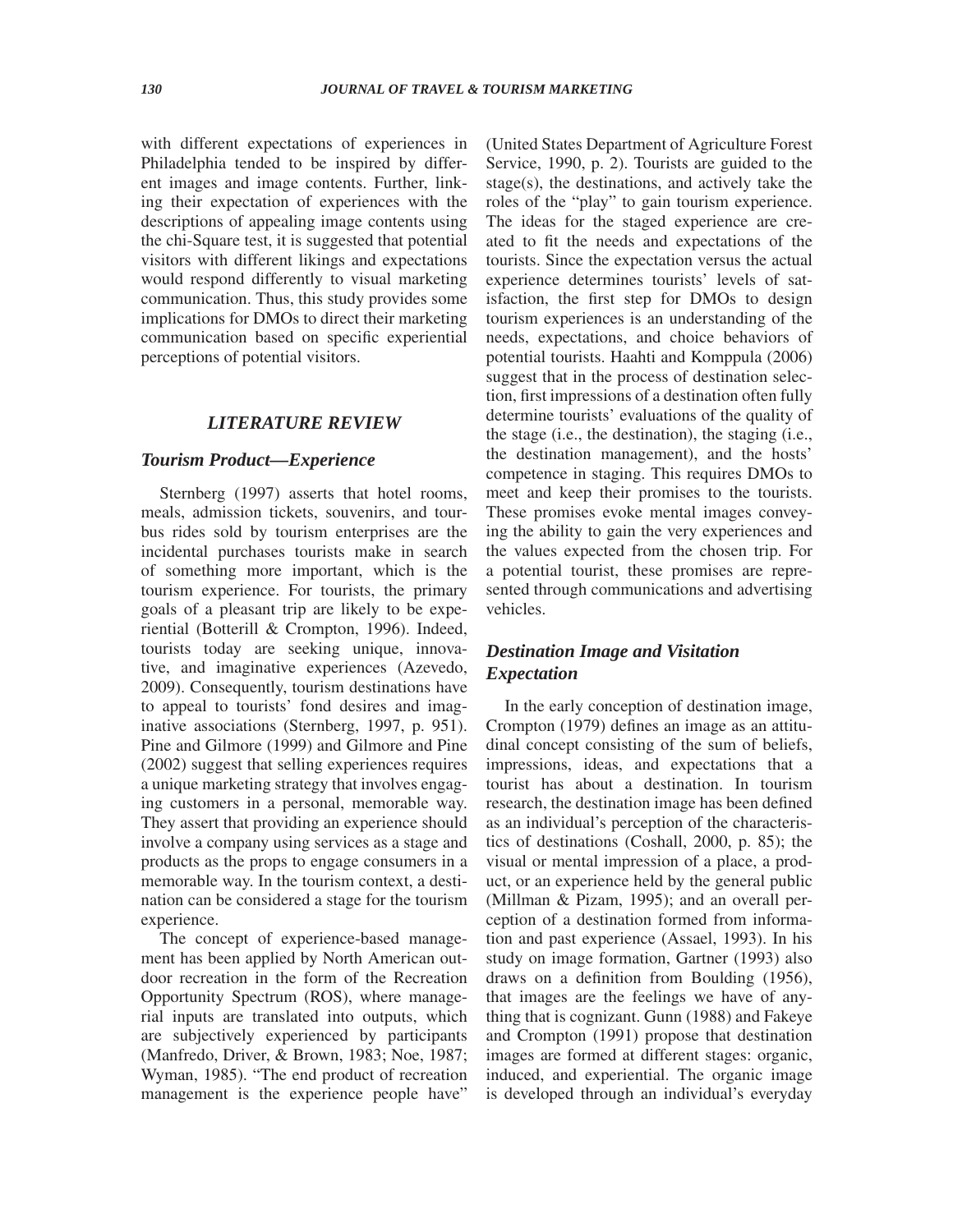with different expectations of experiences in Philadelphia tended to be inspired by different images and image contents. Further, linking their expectation of experiences with the descriptions of appealing image contents using the chi-Square test, it is suggested that potential visitors with different likings and expectations would respond differently to visual marketing communication. Thus, this study provides some implications for DMOs to direct their marketing communication based on specific experiential perceptions of potential visitors.

#### *LITERATURE REVIEW*

#### *Tourism Product—Experience*

Sternberg (1997) asserts that hotel rooms, meals, admission tickets, souvenirs, and tourbus rides sold by tourism enterprises are the incidental purchases tourists make in search of something more important, which is the tourism experience. For tourists, the primary goals of a pleasant trip are likely to be experiential (Botterill & Crompton, 1996). Indeed, tourists today are seeking unique, innovative, and imaginative experiences (Azevedo, 2009). Consequently, tourism destinations have to appeal to tourists' fond desires and imaginative associations (Sternberg, 1997, p. 951). Pine and Gilmore (1999) and Gilmore and Pine (2002) suggest that selling experiences requires a unique marketing strategy that involves engaging customers in a personal, memorable way. They assert that providing an experience should involve a company using services as a stage and products as the props to engage consumers in a memorable way. In the tourism context, a destination can be considered a stage for the tourism experience.

The concept of experience-based management has been applied by North American outdoor recreation in the form of the Recreation Opportunity Spectrum (ROS), where managerial inputs are translated into outputs, which are subjectively experienced by participants (Manfredo, Driver, & Brown, 1983; Noe, 1987; Wyman, 1985). "The end product of recreation management is the experience people have"

(United States Department of Agriculture Forest Service, 1990, p. 2). Tourists are guided to the stage(s), the destinations, and actively take the roles of the "play" to gain tourism experience. The ideas for the staged experience are created to fit the needs and expectations of the tourists. Since the expectation versus the actual experience determines tourists' levels of satisfaction, the first step for DMOs to design tourism experiences is an understanding of the needs, expectations, and choice behaviors of potential tourists. Haahti and Komppula (2006) suggest that in the process of destination selection, first impressions of a destination often fully determine tourists' evaluations of the quality of the stage (i.e., the destination), the staging (i.e., the destination management), and the hosts' competence in staging. This requires DMOs to meet and keep their promises to the tourists. These promises evoke mental images conveying the ability to gain the very experiences and the values expected from the chosen trip. For a potential tourist, these promises are represented through communications and advertising vehicles.

### *Destination Image and Visitation Expectation*

In the early conception of destination image, Crompton (1979) defines an image as an attitudinal concept consisting of the sum of beliefs, impressions, ideas, and expectations that a tourist has about a destination. In tourism research, the destination image has been defined as an individual's perception of the characteristics of destinations (Coshall, 2000, p. 85); the visual or mental impression of a place, a product, or an experience held by the general public (Millman & Pizam, 1995); and an overall perception of a destination formed from information and past experience (Assael, 1993). In his study on image formation, Gartner (1993) also draws on a definition from Boulding (1956), that images are the feelings we have of anything that is cognizant. Gunn (1988) and Fakeye and Crompton (1991) propose that destination images are formed at different stages: organic, induced, and experiential. The organic image is developed through an individual's everyday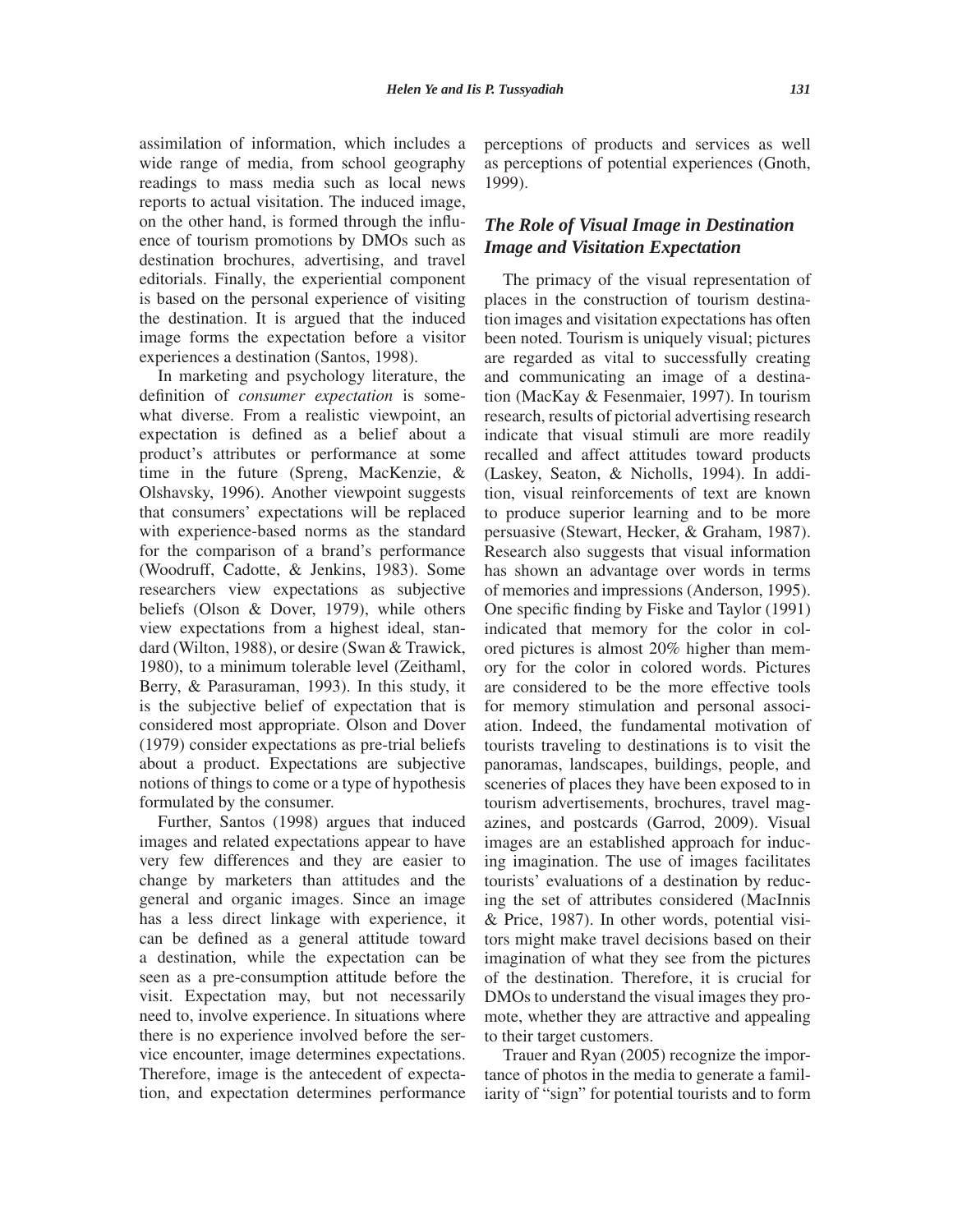assimilation of information, which includes a wide range of media, from school geography readings to mass media such as local news reports to actual visitation. The induced image, on the other hand, is formed through the influence of tourism promotions by DMOs such as destination brochures, advertising, and travel editorials. Finally, the experiential component is based on the personal experience of visiting the destination. It is argued that the induced image forms the expectation before a visitor experiences a destination (Santos, 1998).

In marketing and psychology literature, the definition of *consumer expectation* is somewhat diverse. From a realistic viewpoint, an expectation is defined as a belief about a product's attributes or performance at some time in the future (Spreng, MacKenzie, & Olshavsky, 1996). Another viewpoint suggests that consumers' expectations will be replaced with experience-based norms as the standard for the comparison of a brand's performance (Woodruff, Cadotte, & Jenkins, 1983). Some researchers view expectations as subjective beliefs (Olson & Dover, 1979), while others view expectations from a highest ideal, standard (Wilton, 1988), or desire (Swan & Trawick, 1980), to a minimum tolerable level (Zeithaml, Berry, & Parasuraman, 1993). In this study, it is the subjective belief of expectation that is considered most appropriate. Olson and Dover (1979) consider expectations as pre-trial beliefs about a product. Expectations are subjective notions of things to come or a type of hypothesis formulated by the consumer.

Further, Santos (1998) argues that induced images and related expectations appear to have very few differences and they are easier to change by marketers than attitudes and the general and organic images. Since an image has a less direct linkage with experience, it can be defined as a general attitude toward a destination, while the expectation can be seen as a pre-consumption attitude before the visit. Expectation may, but not necessarily need to, involve experience. In situations where there is no experience involved before the service encounter, image determines expectations. Therefore, image is the antecedent of expectation, and expectation determines performance

perceptions of products and services as well as perceptions of potential experiences (Gnoth, 1999).

### *The Role of Visual Image in Destination Image and Visitation Expectation*

The primacy of the visual representation of places in the construction of tourism destination images and visitation expectations has often been noted. Tourism is uniquely visual; pictures are regarded as vital to successfully creating and communicating an image of a destination (MacKay & Fesenmaier, 1997). In tourism research, results of pictorial advertising research indicate that visual stimuli are more readily recalled and affect attitudes toward products (Laskey, Seaton, & Nicholls, 1994). In addition, visual reinforcements of text are known to produce superior learning and to be more persuasive (Stewart, Hecker, & Graham, 1987). Research also suggests that visual information has shown an advantage over words in terms of memories and impressions (Anderson, 1995). One specific finding by Fiske and Taylor (1991) indicated that memory for the color in colored pictures is almost 20% higher than memory for the color in colored words. Pictures are considered to be the more effective tools for memory stimulation and personal association. Indeed, the fundamental motivation of tourists traveling to destinations is to visit the panoramas, landscapes, buildings, people, and sceneries of places they have been exposed to in tourism advertisements, brochures, travel magazines, and postcards (Garrod, 2009). Visual images are an established approach for inducing imagination. The use of images facilitates tourists' evaluations of a destination by reducing the set of attributes considered (MacInnis & Price, 1987). In other words, potential visitors might make travel decisions based on their imagination of what they see from the pictures of the destination. Therefore, it is crucial for DMOs to understand the visual images they promote, whether they are attractive and appealing to their target customers.

Trauer and Ryan (2005) recognize the importance of photos in the media to generate a familiarity of "sign" for potential tourists and to form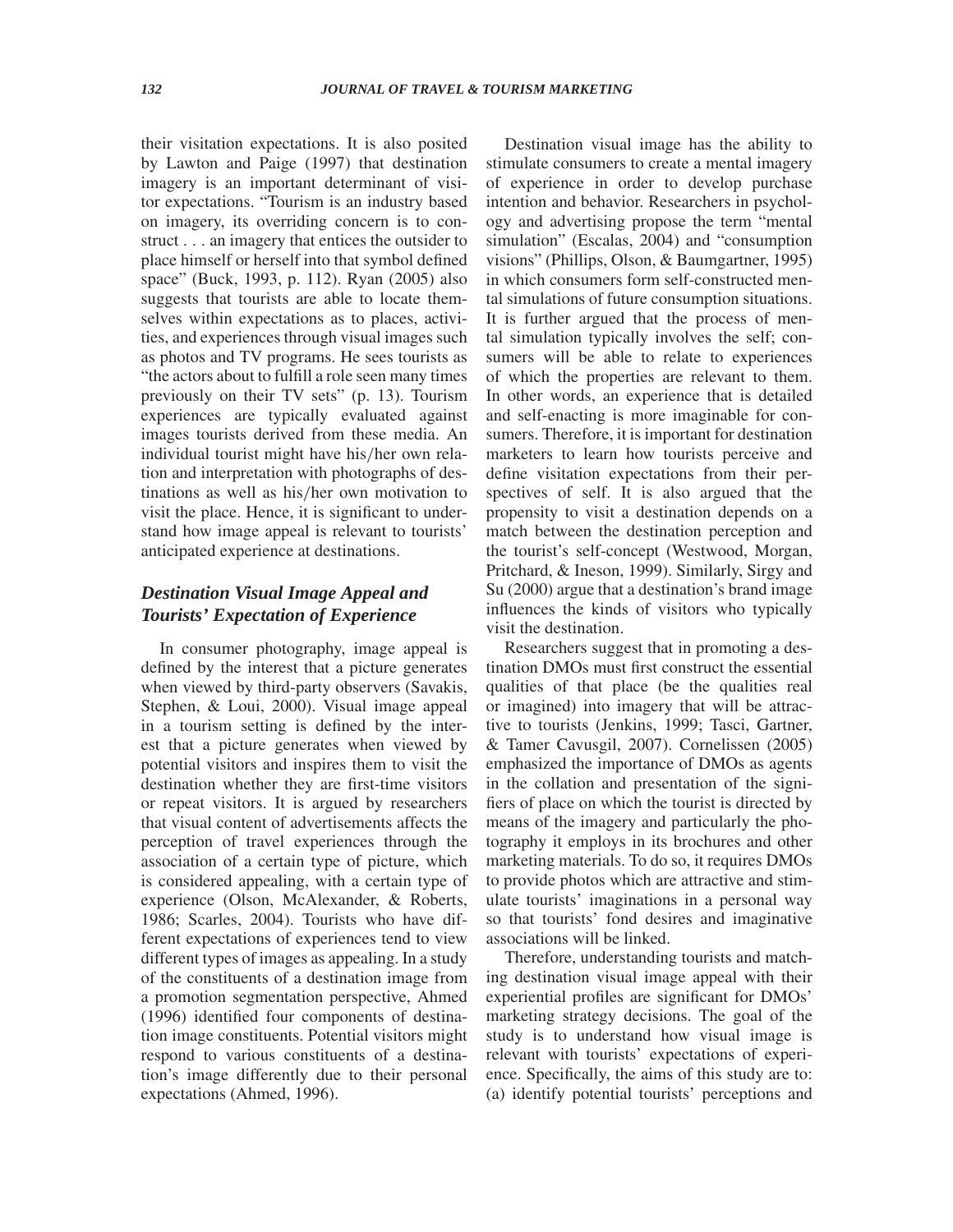their visitation expectations. It is also posited by Lawton and Paige (1997) that destination imagery is an important determinant of visitor expectations. "Tourism is an industry based on imagery, its overriding concern is to construct ... an imagery that entices the outsider to place himself or herself into that symbol defined space" (Buck, 1993, p. 112). Ryan (2005) also suggests that tourists are able to locate themselves within expectations as to places, activities, and experiences through visual images such as photos and TV programs. He sees tourists as "the actors about to fulfill a role seen many times previously on their TV sets" (p. 13). Tourism experiences are typically evaluated against images tourists derived from these media. An individual tourist might have his/her own relation and interpretation with photographs of destinations as well as his/her own motivation to visit the place. Hence, it is significant to understand how image appeal is relevant to tourists' anticipated experience at destinations.

## *Destination Visual Image Appeal and Tourists' Expectation of Experience*

In consumer photography, image appeal is defined by the interest that a picture generates when viewed by third-party observers (Savakis, Stephen, & Loui, 2000). Visual image appeal in a tourism setting is defined by the interest that a picture generates when viewed by potential visitors and inspires them to visit the destination whether they are first-time visitors or repeat visitors. It is argued by researchers that visual content of advertisements affects the perception of travel experiences through the association of a certain type of picture, which is considered appealing, with a certain type of experience (Olson, McAlexander, & Roberts, 1986; Scarles, 2004). Tourists who have different expectations of experiences tend to view different types of images as appealing. In a study of the constituents of a destination image from a promotion segmentation perspective, Ahmed (1996) identified four components of destination image constituents. Potential visitors might respond to various constituents of a destination's image differently due to their personal expectations (Ahmed, 1996).

Destination visual image has the ability to stimulate consumers to create a mental imagery of experience in order to develop purchase intention and behavior. Researchers in psychology and advertising propose the term "mental simulation" (Escalas, 2004) and "consumption visions" (Phillips, Olson, & Baumgartner, 1995) in which consumers form self-constructed mental simulations of future consumption situations. It is further argued that the process of mental simulation typically involves the self; consumers will be able to relate to experiences of which the properties are relevant to them. In other words, an experience that is detailed and self-enacting is more imaginable for consumers. Therefore, it is important for destination marketers to learn how tourists perceive and define visitation expectations from their perspectives of self. It is also argued that the propensity to visit a destination depends on a match between the destination perception and the tourist's self-concept (Westwood, Morgan, Pritchard, & Ineson, 1999). Similarly, Sirgy and Su (2000) argue that a destination's brand image influences the kinds of visitors who typically visit the destination.

Researchers suggest that in promoting a destination DMOs must first construct the essential qualities of that place (be the qualities real or imagined) into imagery that will be attractive to tourists (Jenkins, 1999; Tasci, Gartner, & Tamer Cavusgil, 2007). Cornelissen (2005) emphasized the importance of DMOs as agents in the collation and presentation of the signifiers of place on which the tourist is directed by means of the imagery and particularly the photography it employs in its brochures and other marketing materials. To do so, it requires DMOs to provide photos which are attractive and stimulate tourists' imaginations in a personal way so that tourists' fond desires and imaginative associations will be linked.

Therefore, understanding tourists and matching destination visual image appeal with their experiential profiles are significant for DMOs' marketing strategy decisions. The goal of the study is to understand how visual image is relevant with tourists' expectations of experience. Specifically, the aims of this study are to: (a) identify potential tourists' perceptions and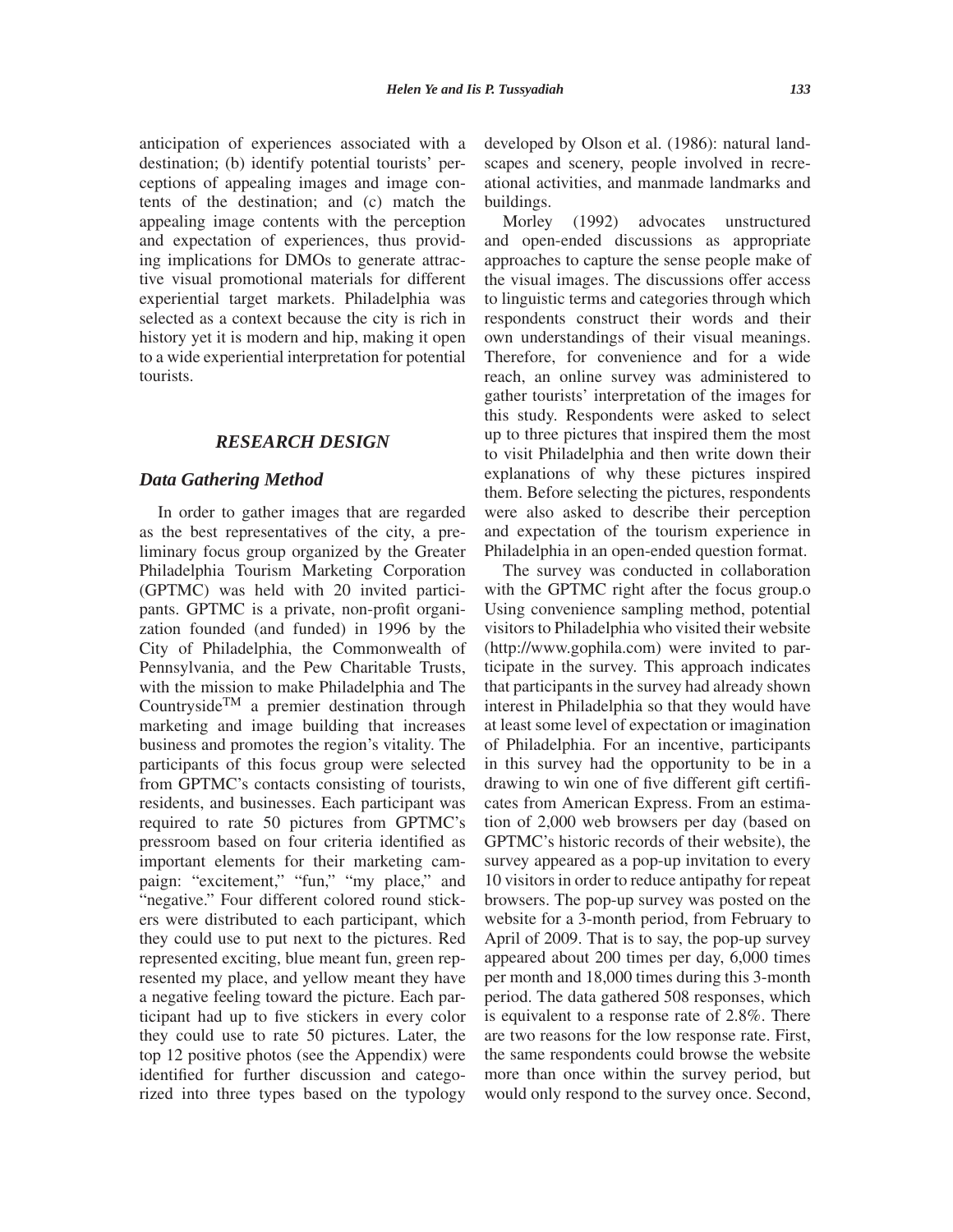anticipation of experiences associated with a

destination; (b) identify potential tourists' perceptions of appealing images and image contents of the destination; and (c) match the appealing image contents with the perception and expectation of experiences, thus providing implications for DMOs to generate attractive visual promotional materials for different experiential target markets. Philadelphia was selected as a context because the city is rich in history yet it is modern and hip, making it open to a wide experiential interpretation for potential tourists.

#### *RESEARCH DESIGN*

#### *Data Gathering Method*

In order to gather images that are regarded as the best representatives of the city, a preliminary focus group organized by the Greater Philadelphia Tourism Marketing Corporation (GPTMC) was held with 20 invited participants. GPTMC is a private, non-profit organization founded (and funded) in 1996 by the City of Philadelphia, the Commonwealth of Pennsylvania, and the Pew Charitable Trusts, with the mission to make Philadelphia and The Countryside<sup>TM</sup> a premier destination through marketing and image building that increases business and promotes the region's vitality. The participants of this focus group were selected from GPTMC's contacts consisting of tourists, residents, and businesses. Each participant was required to rate 50 pictures from GPTMC's pressroom based on four criteria identified as important elements for their marketing campaign: "excitement," "fun," "my place," and "negative." Four different colored round stickers were distributed to each participant, which they could use to put next to the pictures. Red represented exciting, blue meant fun, green represented my place, and yellow meant they have a negative feeling toward the picture. Each participant had up to five stickers in every color they could use to rate 50 pictures. Later, the top 12 positive photos (see the Appendix) were identified for further discussion and categorized into three types based on the typology

developed by Olson et al. (1986): natural landscapes and scenery, people involved in recreational activities, and manmade landmarks and buildings.

Morley (1992) advocates unstructured and open-ended discussions as appropriate approaches to capture the sense people make of the visual images. The discussions offer access to linguistic terms and categories through which respondents construct their words and their own understandings of their visual meanings. Therefore, for convenience and for a wide reach, an online survey was administered to gather tourists' interpretation of the images for this study. Respondents were asked to select up to three pictures that inspired them the most to visit Philadelphia and then write down their explanations of why these pictures inspired them. Before selecting the pictures, respondents were also asked to describe their perception and expectation of the tourism experience in Philadelphia in an open-ended question format.

The survey was conducted in collaboration with the GPTMC right after the focus group.o Using convenience sampling method, potential visitors to Philadelphia who visited their website (http://www.gophila.com) were invited to participate in the survey. This approach indicates that participants in the survey had already shown interest in Philadelphia so that they would have at least some level of expectation or imagination of Philadelphia. For an incentive, participants in this survey had the opportunity to be in a drawing to win one of five different gift certificates from American Express. From an estimation of 2,000 web browsers per day (based on GPTMC's historic records of their website), the survey appeared as a pop-up invitation to every 10 visitors in order to reduce antipathy for repeat browsers. The pop-up survey was posted on the website for a 3-month period, from February to April of 2009. That is to say, the pop-up survey appeared about 200 times per day, 6,000 times per month and 18,000 times during this 3-month period. The data gathered 508 responses, which is equivalent to a response rate of 2.8%. There are two reasons for the low response rate. First, the same respondents could browse the website more than once within the survey period, but would only respond to the survey once. Second,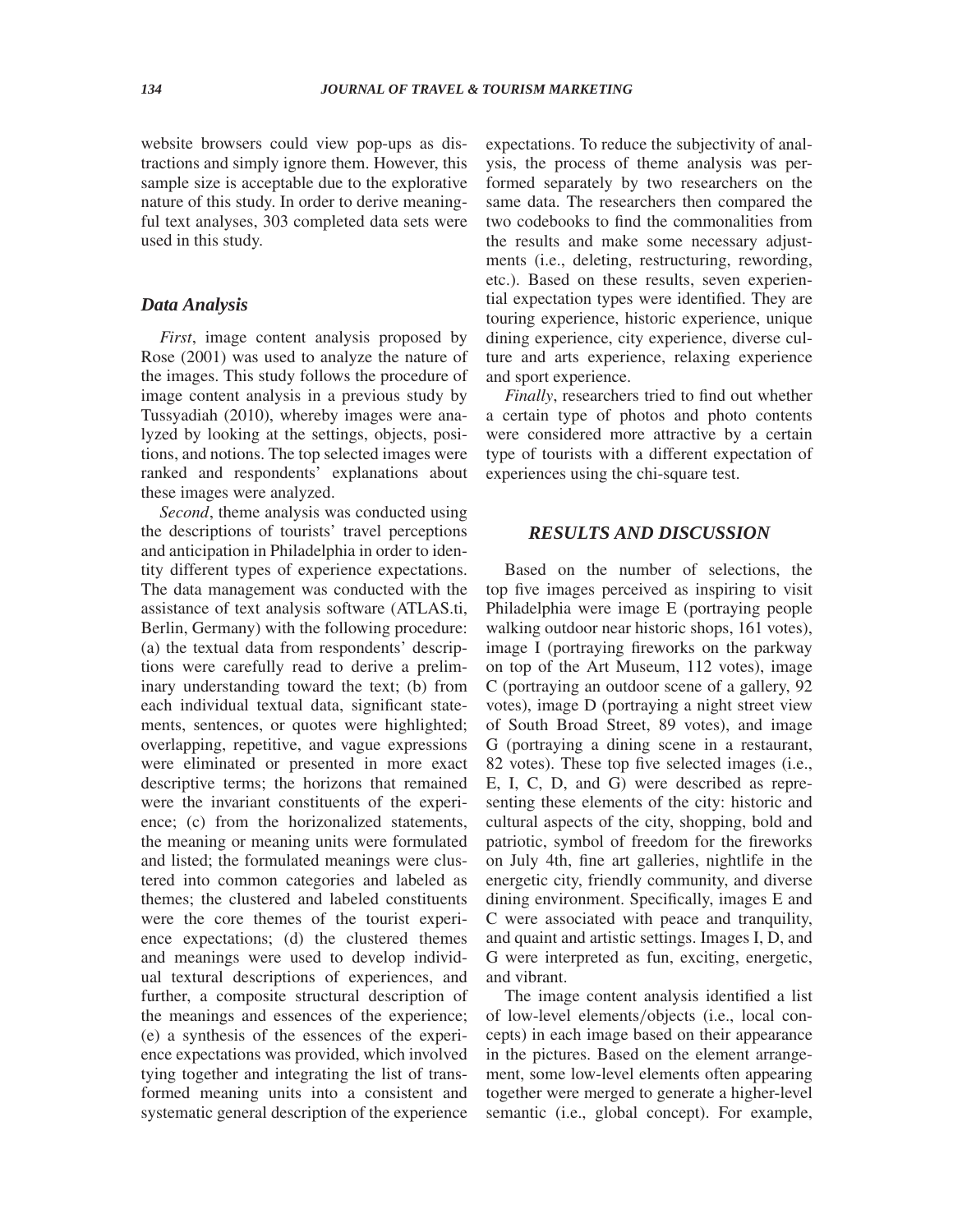website browsers could view pop-ups as distractions and simply ignore them. However, this sample size is acceptable due to the explorative nature of this study. In order to derive meaningful text analyses, 303 completed data sets were used in this study.

#### *Data Analysis*

*First*, image content analysis proposed by Rose (2001) was used to analyze the nature of the images. This study follows the procedure of image content analysis in a previous study by Tussyadiah (2010), whereby images were analyzed by looking at the settings, objects, positions, and notions. The top selected images were ranked and respondents' explanations about these images were analyzed.

*Second*, theme analysis was conducted using the descriptions of tourists' travel perceptions and anticipation in Philadelphia in order to identity different types of experience expectations. The data management was conducted with the assistance of text analysis software (ATLAS.ti, Berlin, Germany) with the following procedure: (a) the textual data from respondents' descriptions were carefully read to derive a preliminary understanding toward the text; (b) from each individual textual data, significant statements, sentences, or quotes were highlighted; overlapping, repetitive, and vague expressions were eliminated or presented in more exact descriptive terms; the horizons that remained were the invariant constituents of the experience; (c) from the horizonalized statements, the meaning or meaning units were formulated and listed; the formulated meanings were clustered into common categories and labeled as themes; the clustered and labeled constituents were the core themes of the tourist experience expectations; (d) the clustered themes and meanings were used to develop individual textural descriptions of experiences, and further, a composite structural description of the meanings and essences of the experience; (e) a synthesis of the essences of the experience expectations was provided, which involved tying together and integrating the list of transformed meaning units into a consistent and systematic general description of the experience

expectations. To reduce the subjectivity of analysis, the process of theme analysis was performed separately by two researchers on the same data. The researchers then compared the two codebooks to find the commonalities from the results and make some necessary adjustments (i.e., deleting, restructuring, rewording, etc.). Based on these results, seven experiential expectation types were identified. They are touring experience, historic experience, unique dining experience, city experience, diverse culture and arts experience, relaxing experience and sport experience.

*Finally*, researchers tried to find out whether a certain type of photos and photo contents were considered more attractive by a certain type of tourists with a different expectation of experiences using the chi-square test.

#### *RESULTS AND DISCUSSION*

Based on the number of selections, the top five images perceived as inspiring to visit Philadelphia were image E (portraying people walking outdoor near historic shops, 161 votes), image I (portraying fireworks on the parkway on top of the Art Museum, 112 votes), image C (portraying an outdoor scene of a gallery, 92 votes), image D (portraying a night street view of South Broad Street, 89 votes), and image G (portraying a dining scene in a restaurant, 82 votes). These top five selected images (i.e., E, I, C, D, and G) were described as representing these elements of the city: historic and cultural aspects of the city, shopping, bold and patriotic, symbol of freedom for the fireworks on July 4th, fine art galleries, nightlife in the energetic city, friendly community, and diverse dining environment. Specifically, images E and C were associated with peace and tranquility, and quaint and artistic settings. Images I, D, and G were interpreted as fun, exciting, energetic, and vibrant.

The image content analysis identified a list of low-level elements/objects (i.e., local concepts) in each image based on their appearance in the pictures. Based on the element arrangement, some low-level elements often appearing together were merged to generate a higher-level semantic (i.e., global concept). For example,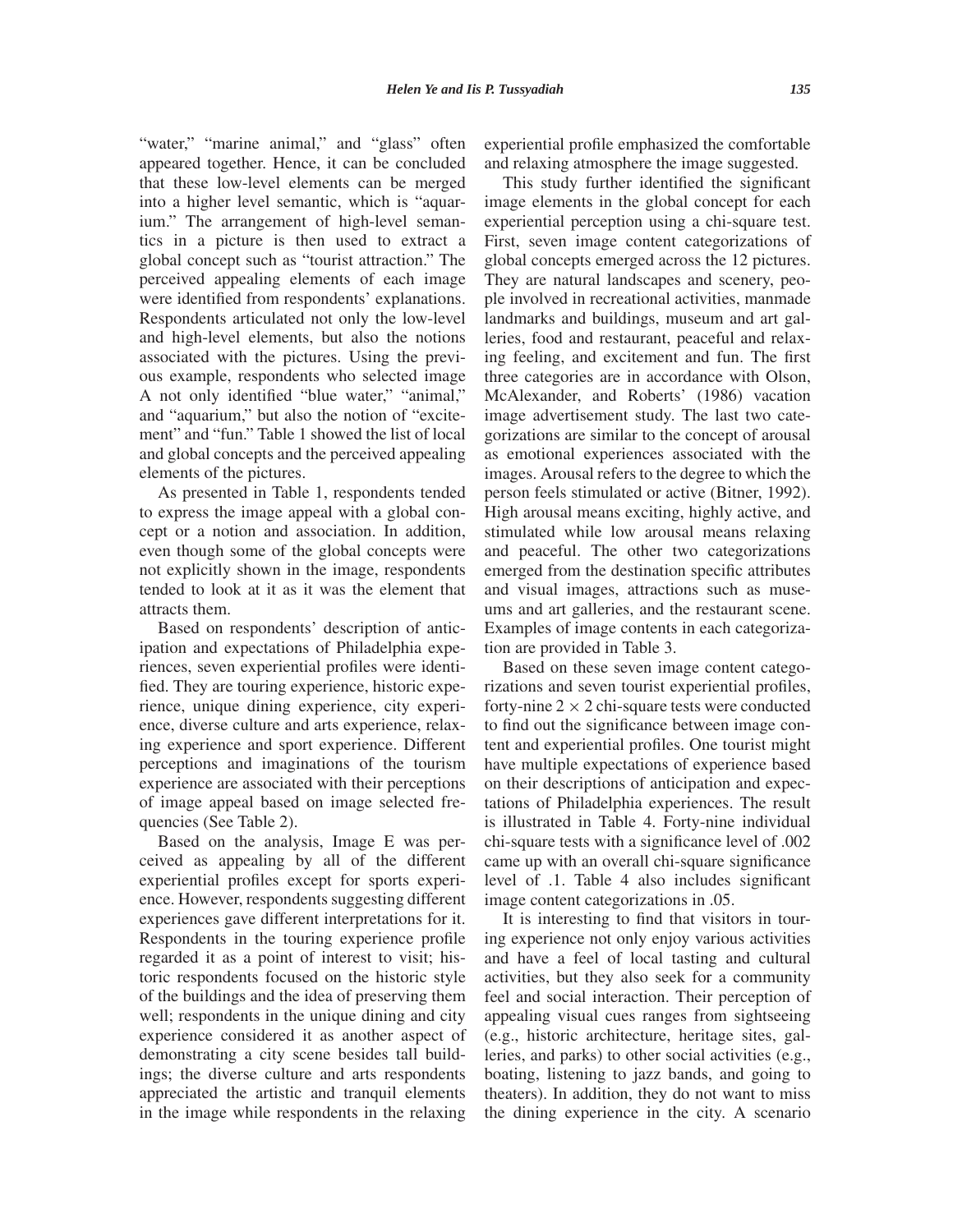"water," "marine animal," and "glass" often appeared together. Hence, it can be concluded that these low-level elements can be merged into a higher level semantic, which is "aquarium." The arrangement of high-level semantics in a picture is then used to extract a global concept such as "tourist attraction." The perceived appealing elements of each image were identified from respondents' explanations. Respondents articulated not only the low-level and high-level elements, but also the notions associated with the pictures. Using the previous example, respondents who selected image A not only identified "blue water," "animal," and "aquarium," but also the notion of "excitement" and "fun." Table 1 showed the list of local and global concepts and the perceived appealing elements of the pictures.

As presented in Table 1, respondents tended to express the image appeal with a global concept or a notion and association. In addition, even though some of the global concepts were not explicitly shown in the image, respondents tended to look at it as it was the element that attracts them.

Based on respondents' description of anticipation and expectations of Philadelphia experiences, seven experiential profiles were identified. They are touring experience, historic experience, unique dining experience, city experience, diverse culture and arts experience, relaxing experience and sport experience. Different perceptions and imaginations of the tourism experience are associated with their perceptions of image appeal based on image selected frequencies (See Table 2).

Based on the analysis, Image E was perceived as appealing by all of the different experiential profiles except for sports experience. However, respondents suggesting different experiences gave different interpretations for it. Respondents in the touring experience profile regarded it as a point of interest to visit; historic respondents focused on the historic style of the buildings and the idea of preserving them well; respondents in the unique dining and city experience considered it as another aspect of demonstrating a city scene besides tall buildings; the diverse culture and arts respondents appreciated the artistic and tranquil elements in the image while respondents in the relaxing

experiential profile emphasized the comfortable and relaxing atmosphere the image suggested.

This study further identified the significant image elements in the global concept for each experiential perception using a chi-square test. First, seven image content categorizations of global concepts emerged across the 12 pictures. They are natural landscapes and scenery, people involved in recreational activities, manmade landmarks and buildings, museum and art galleries, food and restaurant, peaceful and relaxing feeling, and excitement and fun. The first three categories are in accordance with Olson, McAlexander, and Roberts' (1986) vacation image advertisement study. The last two categorizations are similar to the concept of arousal as emotional experiences associated with the images. Arousal refers to the degree to which the person feels stimulated or active (Bitner, 1992). High arousal means exciting, highly active, and stimulated while low arousal means relaxing and peaceful. The other two categorizations emerged from the destination specific attributes and visual images, attractions such as museums and art galleries, and the restaurant scene. Examples of image contents in each categorization are provided in Table 3.

Based on these seven image content categorizations and seven tourist experiential profiles, forty-nine  $2 \times 2$  chi-square tests were conducted to find out the significance between image content and experiential profiles. One tourist might have multiple expectations of experience based on their descriptions of anticipation and expectations of Philadelphia experiences. The result is illustrated in Table 4. Forty-nine individual chi-square tests with a significance level of .002 came up with an overall chi-square significance level of .1. Table 4 also includes significant image content categorizations in .05.

It is interesting to find that visitors in touring experience not only enjoy various activities and have a feel of local tasting and cultural activities, but they also seek for a community feel and social interaction. Their perception of appealing visual cues ranges from sightseeing (e.g., historic architecture, heritage sites, galleries, and parks) to other social activities (e.g., boating, listening to jazz bands, and going to theaters). In addition, they do not want to miss the dining experience in the city. A scenario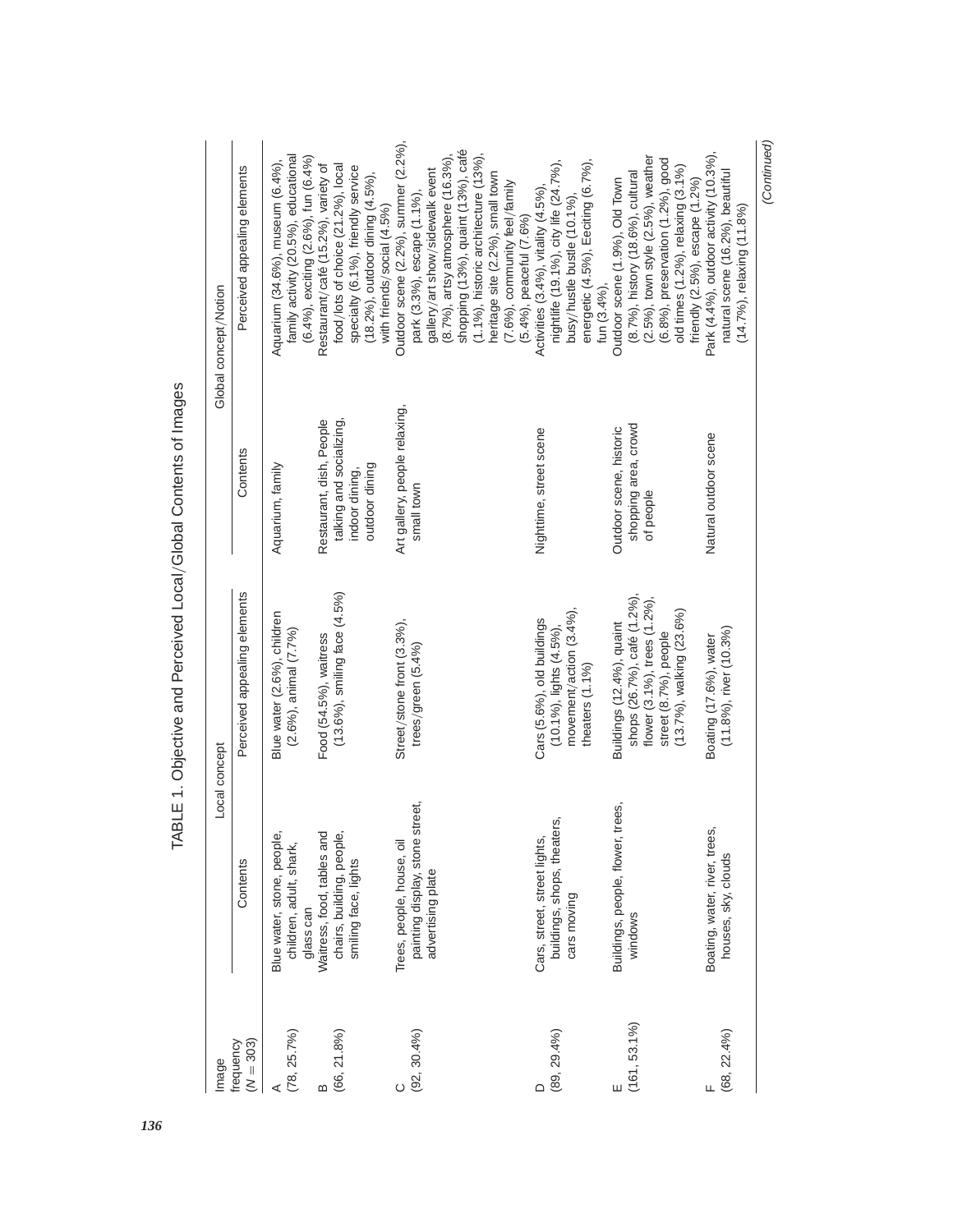| Image                     |                                                                                      | Local concept                                                                                                                                 |                                                                                          | Global concept/Notion                                                                                                                                                                                                                                                                                      |
|---------------------------|--------------------------------------------------------------------------------------|-----------------------------------------------------------------------------------------------------------------------------------------------|------------------------------------------------------------------------------------------|------------------------------------------------------------------------------------------------------------------------------------------------------------------------------------------------------------------------------------------------------------------------------------------------------------|
| frequency<br>$(N = 303)$  | Contents                                                                             | Perceived appealing elements                                                                                                                  | Contents                                                                                 | Perceived appealing elements                                                                                                                                                                                                                                                                               |
| $(78, 25.7\%)$<br>⋖       | Blue water, stone, people<br>children, adult, shark,<br>glass can                    | Blue water (2.6%), children<br>$(2.6\%)$ , animal $(7.7\%)$                                                                                   | Aquarium, family                                                                         | family activity (20.5%), educational<br>$(6.4\%)$ , exciting $(2.6\%)$ , fun $(6.4\%)$<br>Aquarium (34.6%), museum (6.4%),                                                                                                                                                                                 |
| $(66, 21.8\%)$<br>Б       | Waitress, food, tables and<br>chairs, building, people<br>smiling face, lights       | (13.6%), smiling face (4.5%)<br>Food (54.5%), waitress                                                                                        | talking and socializing,<br>Restaurant, dish, People<br>outdoor dining<br>indoor dining, | Restaurant/café (15.2%), variety of<br>food/lots of choice (21.2%), local<br>specialty (6.1%), friendly service<br>(18.2%), outdoor dining (4.5%),                                                                                                                                                         |
| $(92, 30.4\%)$<br>$\circ$ | street,<br>painting display, stone<br>Trees, people, house, oil<br>advertising plate | Street/stone front (3.3%),<br>trees/green (5.4%)                                                                                              | Art gallery, people relaxing,<br>small town                                              | Outdoor scene (2.2%), summer (2.2%),<br>shopping (13%), quaint (13%), café<br>$(1.1\%)$ , historic architecture $(13\%)$ ,<br>$(8.7\%)$ , artsy atmosphere $(16.3\%)$ ,<br>gallery/art show/sidewalk event<br>heritage site (2.2%), small town<br>park (3.3%), escape (1.1%)<br>with friends/social (4.5%) |
| $(89, 29.4\%)$<br>≏       | buildings, shops, theaters,<br>Cars, street, street lights,<br>cars moving           | movement/action (3.4%),<br>Cars (5.6%), old buildings<br>$(10.1\%)$ , lights $(4.5\%)$<br>theaters $(1.1\%)$                                  | Nighttime, street scene                                                                  | nightlife (19.1%), city life (24.7%),<br>energetic (4.5%), Eeciting (6.7%),<br>(7.6%), community feel/family<br>Activities (3.4%), vitality (4.5%)<br>busy/hustle bustle (10.1%),<br>$(5.4\%)$ , peaceful $(7.6\%)$                                                                                        |
| $(161, 53.1\%)$<br>ш      | trees,<br>Buildings, people, flower,<br>windows                                      | shops (26.7%), café (1.2%),<br>flower (3.1%), trees (1.2%),<br>(13.7%), walking (23.6%)<br>Buildings (12.4%), quaint<br>street (8.7%), people | shopping area, crowd<br>Outdoor scene, historic<br>of people                             | $(2.5\%)$ , town style $(2.5\%)$ , weather<br>(6.8%), preservation (1.2%), good<br>old times (1.2%), relaxing (3.1%)<br>(8.7%), history (18.6%), cultural<br>Outdoor scene (1.9%), Old Town<br>fun $(3.4\%)$ ,                                                                                             |
| $(68, 22.4\%)$            | Boating, water, river, trees,<br>houses, sky, clouds                                 | $(11.8\%)$ , river $(10.3\%)$<br>Boating (17.6%), water                                                                                       | Natural outdoor scene                                                                    | Park (4.4%), outdoor activity (10.3%),<br>natural scene (16.2%), beautiful<br>friendly (2.5%), escape (1.2%)<br>$(14.7\%)$ , relaxing $(11.8\%)$                                                                                                                                                           |
|                           |                                                                                      |                                                                                                                                               |                                                                                          | (Continued)                                                                                                                                                                                                                                                                                                |

TABLE 1. Objective and Perceived Local/Global Contents of Images TABLE 1. Objective and Perceived Local/Global Contents of Images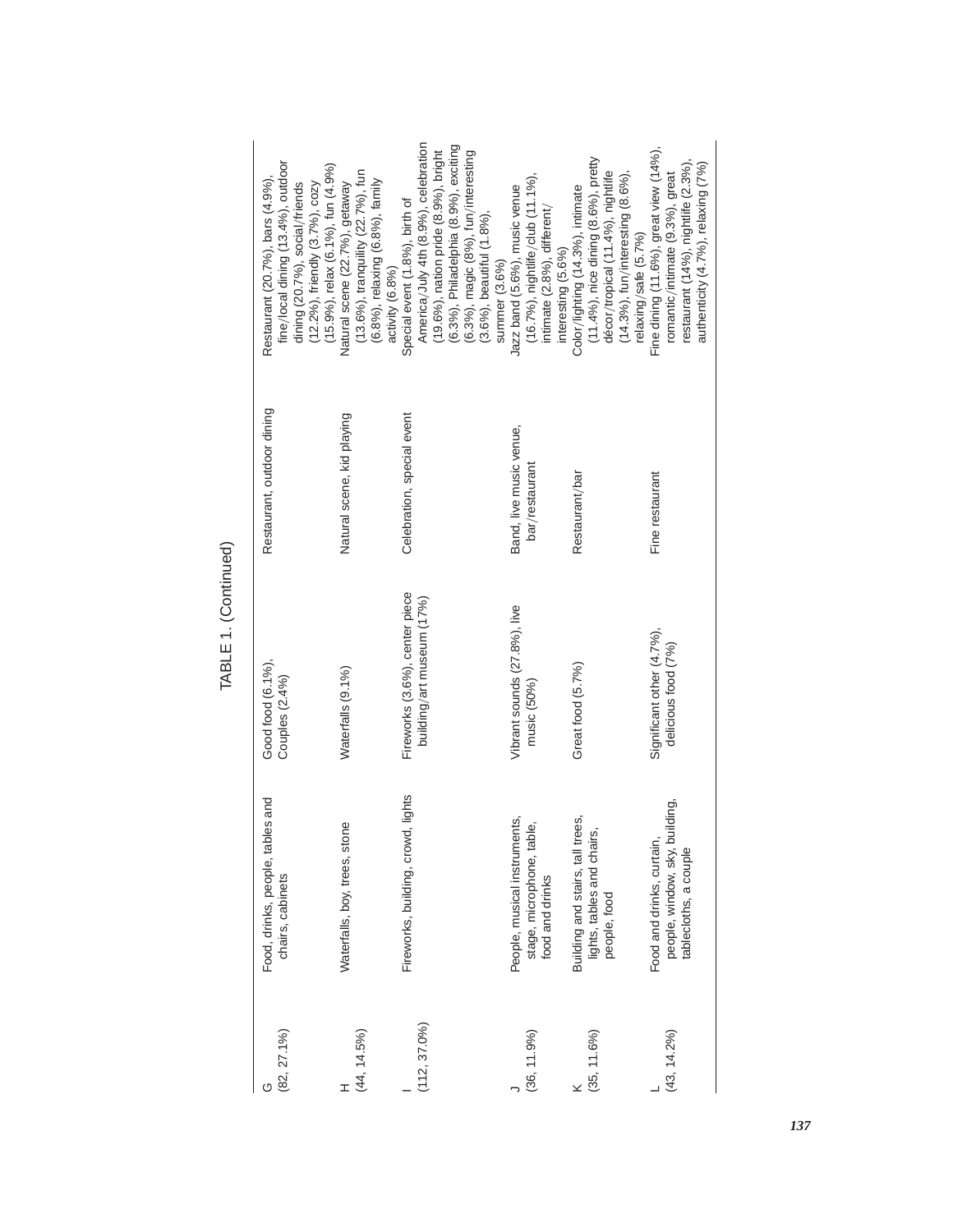| $(82, 27.1\%)$  | Food, drinks, people, tables and<br>chairs, cabinets                                 | Good food (6.1%),<br>Couples (2.4%)                         | Restaurant, outdoor dining                | fine/local dining (13.4%), outdoor<br>Restaurant (20.7%), bars (4.9%),<br>dining (20.7%), social/friends                                                                                                                  |
|-----------------|--------------------------------------------------------------------------------------|-------------------------------------------------------------|-------------------------------------------|---------------------------------------------------------------------------------------------------------------------------------------------------------------------------------------------------------------------------|
| $(44, 14.5\%)$  | Waterfalls, boy, trees, stone                                                        | Waterfalls (9.1%)                                           | Natural scene, kid playing                | (15.9%), relax (6.1%), fun (4.9%)<br>(13.6%), tranquility (22.7%), fun<br>(6.8%), relaxing (6.8%), family<br>(12.2%), friendly (3.7%), cozy<br>Natural scene (22.7%), getaway                                             |
| $(112, 37.0\%)$ | Fireworks, building, crowd, lights                                                   | Fireworks (3.6%), center piece<br>building/art museum (17%) | Celebration, special event                | America/July 4th (8.9%), celebration<br>(6.3%), Philadelphia (8.9%), exciting<br>(19.6%), nation pride (8.9%), bright<br>$(6.3\%)$ , magic $(8\%)$ , fun/interesting<br>Special event (1.8%), birth of<br>activity (6.8%) |
| $(36, 11.9\%)$  | People, musical instruments,<br>stage, microphone, table,<br>food and drinks         | Vibrant sounds (27.8%), live<br>music (50%)                 | Band, live music venue,<br>bar/restaurant | (16.7%), nightlife/club (11.1%),<br>Jazz band (5.6%), music venue<br>intimate (2.8%), different/<br>$(3.6\%)$ , beautiful $(1.8\%)$ .<br>summer (3.6%)                                                                    |
| $(35, 11.6\%)$  | Building and stairs, tall trees,<br>ເອົ<br>lights, tables and chair<br>people, food  | Great food (5.7%)                                           | Restaurant/bar                            | $(11.4\%)$ , nice dining $(8.6\%)$ , pretty<br>(14.3%), fun/interesting (8.6%),<br>décor/tropical (11.4%), nightlife<br>Color/lighting (14.3%), intimate<br>interesting (5.6%)                                            |
| $(43, 14.2\%)$  | people, window, sky, building,<br>Food and drinks, curtain,<br>tablecloths, a couple | Significant other (4.7%),<br>delicious food (7%)            | Fine restaurant                           | Fine dining (11.6%), great view (14%),<br>restaurant (14%), nightlife (2.3%),<br>authenticity (4.7%), relaxing (7%)<br>romantic/intimate (9.3%), great<br>relaxing/safe (5.7%)                                            |

TABLE 1. (Continued) TABLE 1. (Continued)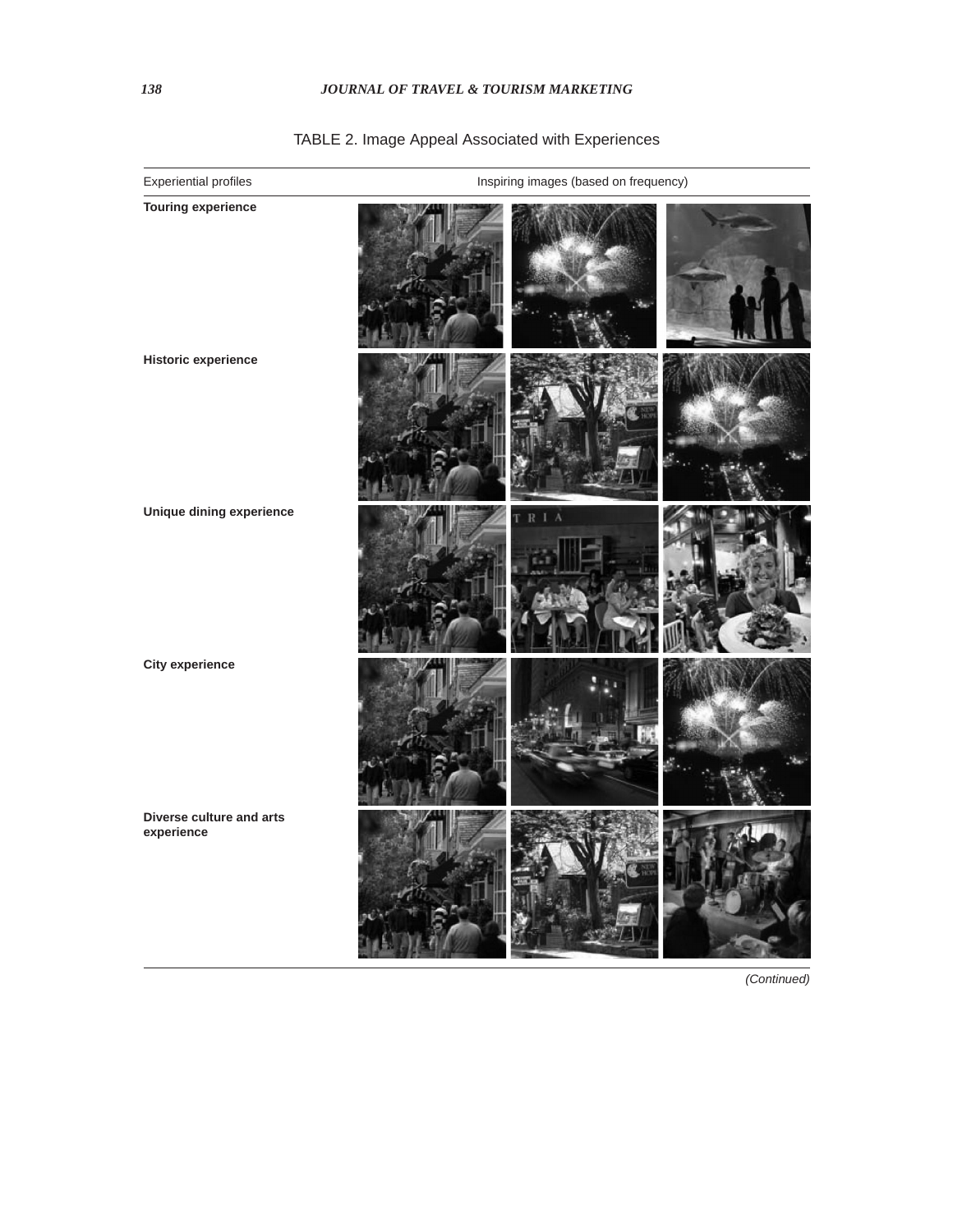| <b>Experiential profiles</b>           | Inspiring images (based on frequency) |
|----------------------------------------|---------------------------------------|
| <b>Touring experience</b>              |                                       |
| <b>Historic experience</b>             | $\Delta\mu$                           |
| Unique dining experience               | R                                     |
| <b>City experience</b>                 |                                       |
| Diverse culture and arts<br>experience |                                       |

## TABLE 2. Image Appeal Associated with Experiences

*(Continued)*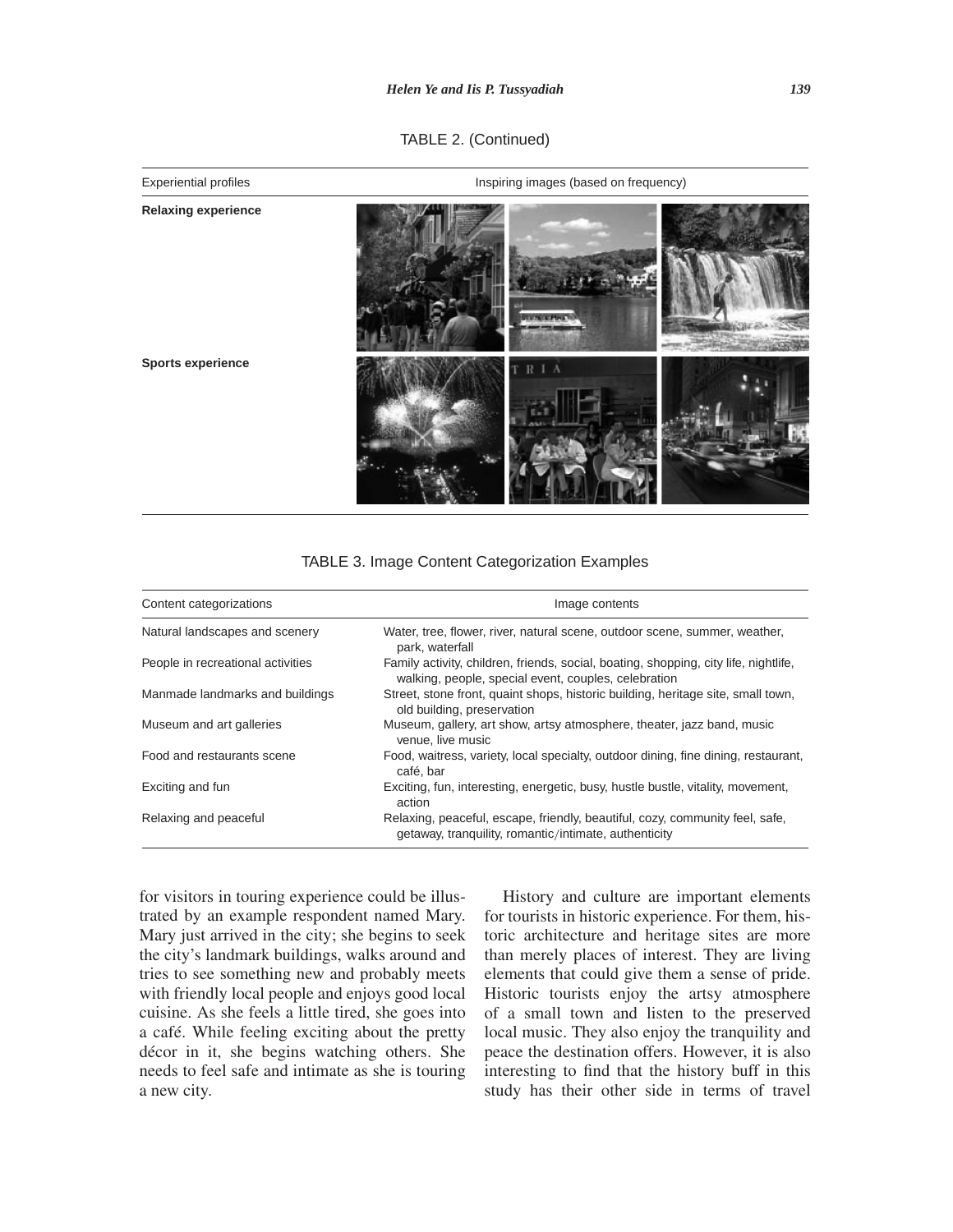|  | TABLE 2. (Continued) |
|--|----------------------|
|--|----------------------|



TABLE 3. Image Content Categorization Examples

| Content categorizations           | Image contents                                                                                                                               |  |  |  |
|-----------------------------------|----------------------------------------------------------------------------------------------------------------------------------------------|--|--|--|
| Natural landscapes and scenery    | Water, tree, flower, river, natural scene, outdoor scene, summer, weather,<br>park, waterfall                                                |  |  |  |
| People in recreational activities | Family activity, children, friends, social, boating, shopping, city life, nightlife,<br>walking, people, special event, couples, celebration |  |  |  |
| Manmade landmarks and buildings   | Street, stone front, quaint shops, historic building, heritage site, small town,<br>old building, preservation                               |  |  |  |
| Museum and art galleries          | Museum, gallery, art show, artsy atmosphere, theater, jazz band, music<br>venue. live music                                                  |  |  |  |
| Food and restaurants scene        | Food, waitress, variety, local specialty, outdoor dining, fine dining, restaurant,<br>café, bar                                              |  |  |  |
| Exciting and fun                  | Exciting, fun, interesting, energetic, busy, hustle bustle, vitality, movement,<br>action                                                    |  |  |  |
| Relaxing and peaceful             | Relaxing, peaceful, escape, friendly, beautiful, cozy, community feel, safe,<br>getaway, tranquility, romantic/intimate, authenticity        |  |  |  |

for visitors in touring experience could be illustrated by an example respondent named Mary. Mary just arrived in the city; she begins to seek the city's landmark buildings, walks around and tries to see something new and probably meets with friendly local people and enjoys good local cuisine. As she feels a little tired, she goes into a café. While feeling exciting about the pretty décor in it, she begins watching others. She needs to feel safe and intimate as she is touring a new city.

History and culture are important elements for tourists in historic experience. For them, historic architecture and heritage sites are more than merely places of interest. They are living elements that could give them a sense of pride. Historic tourists enjoy the artsy atmosphere of a small town and listen to the preserved local music. They also enjoy the tranquility and peace the destination offers. However, it is also interesting to find that the history buff in this study has their other side in terms of travel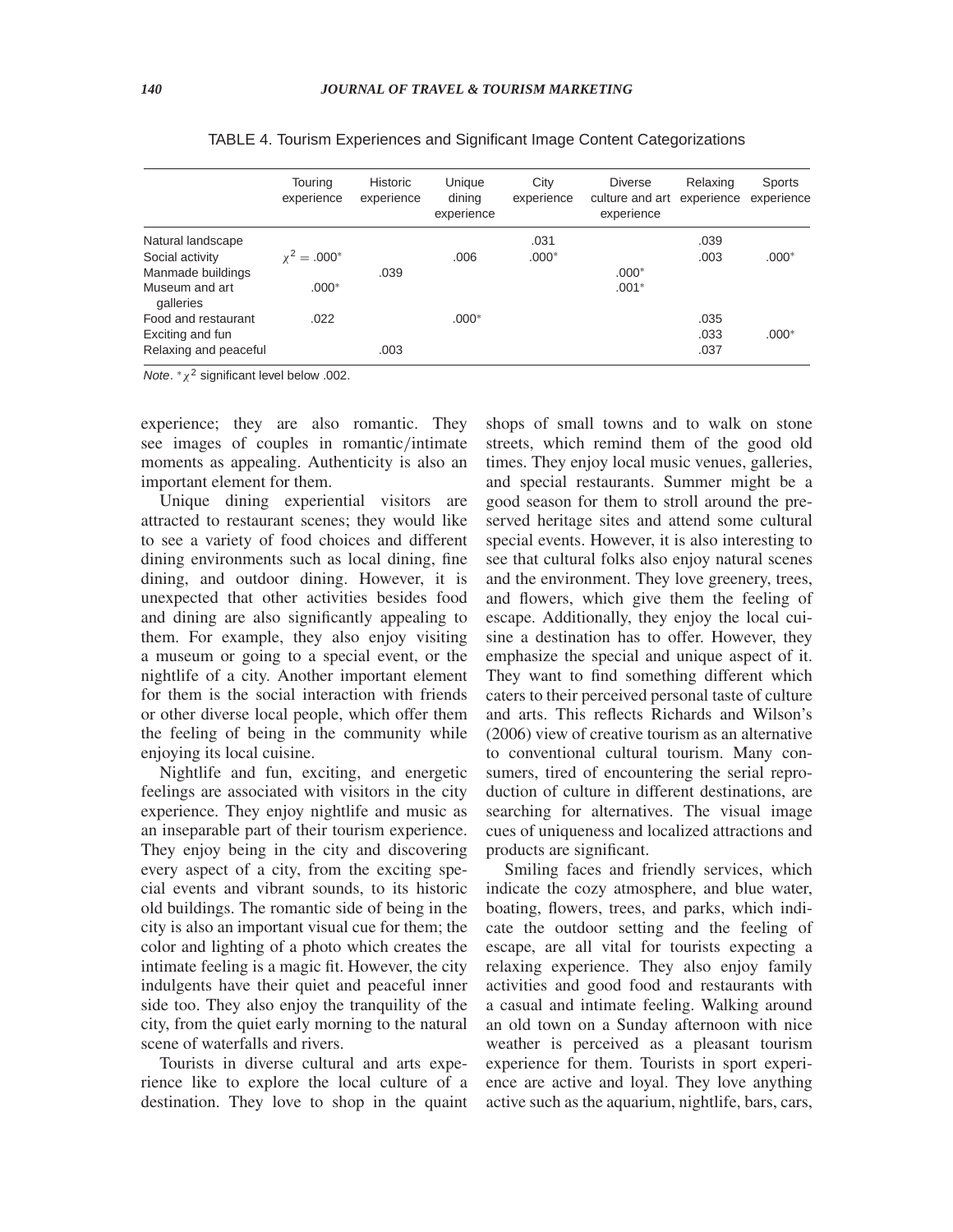|                             | Touring<br>experience | Historic<br>experience | Unique<br>dining<br>experience | City<br>experience | <b>Diverse</b><br>culture and art experience<br>experience | Relaxing | Sports<br>experience |
|-----------------------------|-----------------------|------------------------|--------------------------------|--------------------|------------------------------------------------------------|----------|----------------------|
| Natural landscape           |                       |                        |                                | .031               |                                                            | .039     |                      |
| Social activity             | $x^2 = .000^*$        |                        | .006                           | $.000*$            |                                                            | .003     | $.000*$              |
| Manmade buildings           |                       | .039                   |                                |                    | $.000*$                                                    |          |                      |
| Museum and art<br>galleries | $.000*$               |                        |                                |                    | $.001*$                                                    |          |                      |
| Food and restaurant         | .022                  |                        | $.000*$                        |                    |                                                            | .035     |                      |
| Exciting and fun            |                       |                        |                                |                    |                                                            | .033     | $.000*$              |
| Relaxing and peaceful       |                       | .003                   |                                |                    |                                                            | .037     |                      |

TABLE 4. Tourism Experiences and Significant Image Content Categorizations

*Note*. <sup>∗</sup>χ<sup>2</sup> significant level below .002.

experience; they are also romantic. They see images of couples in romantic/intimate moments as appealing. Authenticity is also an important element for them.

Unique dining experiential visitors are attracted to restaurant scenes; they would like to see a variety of food choices and different dining environments such as local dining, fine dining, and outdoor dining. However, it is unexpected that other activities besides food and dining are also significantly appealing to them. For example, they also enjoy visiting a museum or going to a special event, or the nightlife of a city. Another important element for them is the social interaction with friends or other diverse local people, which offer them the feeling of being in the community while enjoying its local cuisine.

Nightlife and fun, exciting, and energetic feelings are associated with visitors in the city experience. They enjoy nightlife and music as an inseparable part of their tourism experience. They enjoy being in the city and discovering every aspect of a city, from the exciting special events and vibrant sounds, to its historic old buildings. The romantic side of being in the city is also an important visual cue for them; the color and lighting of a photo which creates the intimate feeling is a magic fit. However, the city indulgents have their quiet and peaceful inner side too. They also enjoy the tranquility of the city, from the quiet early morning to the natural scene of waterfalls and rivers.

Tourists in diverse cultural and arts experience like to explore the local culture of a destination. They love to shop in the quaint shops of small towns and to walk on stone streets, which remind them of the good old times. They enjoy local music venues, galleries, and special restaurants. Summer might be a good season for them to stroll around the preserved heritage sites and attend some cultural special events. However, it is also interesting to see that cultural folks also enjoy natural scenes and the environment. They love greenery, trees, and flowers, which give them the feeling of escape. Additionally, they enjoy the local cuisine a destination has to offer. However, they emphasize the special and unique aspect of it. They want to find something different which caters to their perceived personal taste of culture and arts. This reflects Richards and Wilson's (2006) view of creative tourism as an alternative to conventional cultural tourism. Many consumers, tired of encountering the serial reproduction of culture in different destinations, are searching for alternatives. The visual image cues of uniqueness and localized attractions and products are significant.

Smiling faces and friendly services, which indicate the cozy atmosphere, and blue water, boating, flowers, trees, and parks, which indicate the outdoor setting and the feeling of escape, are all vital for tourists expecting a relaxing experience. They also enjoy family activities and good food and restaurants with a casual and intimate feeling. Walking around an old town on a Sunday afternoon with nice weather is perceived as a pleasant tourism experience for them. Tourists in sport experience are active and loyal. They love anything active such as the aquarium, nightlife, bars, cars,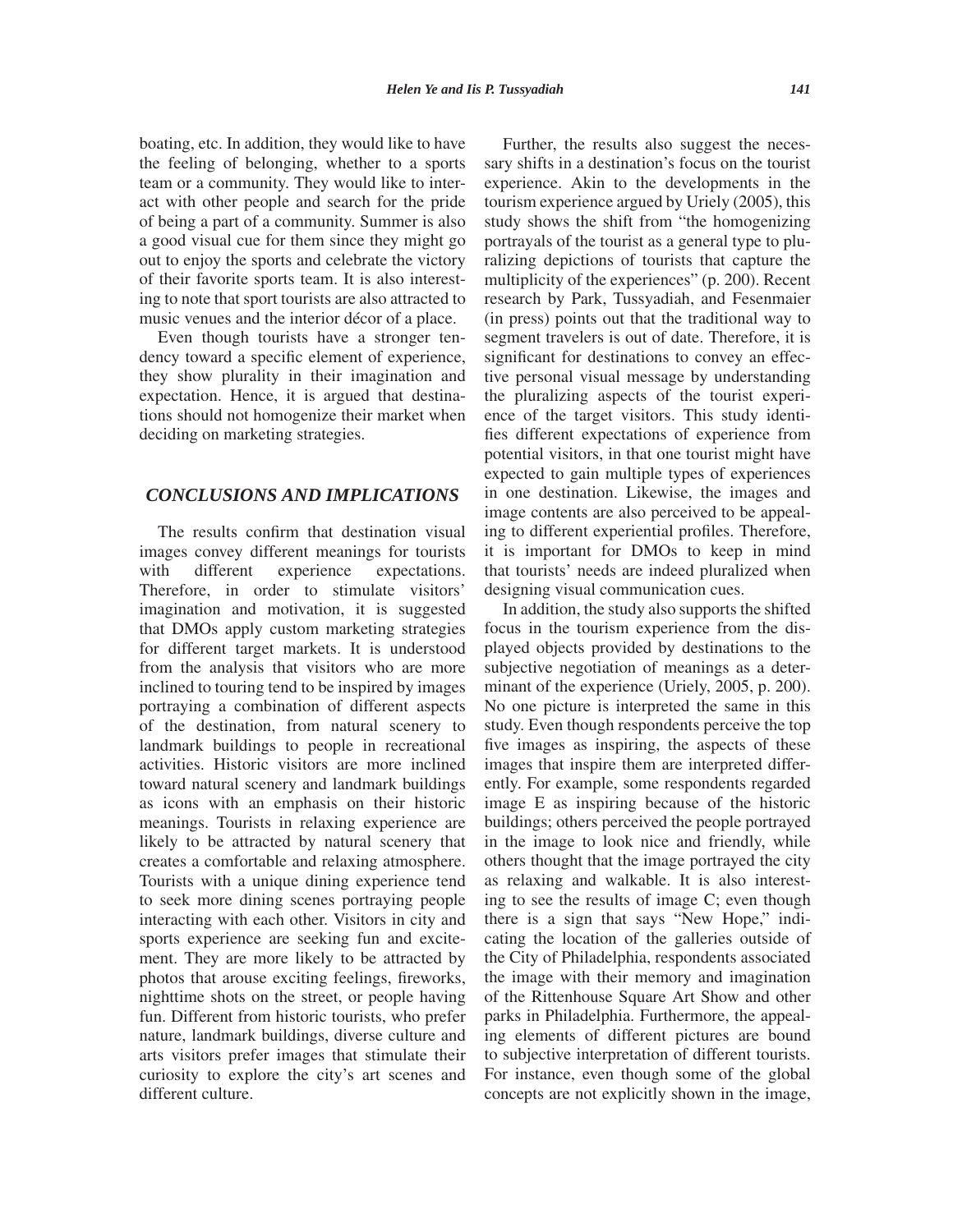boating, etc. In addition, they would like to have the feeling of belonging, whether to a sports team or a community. They would like to interact with other people and search for the pride of being a part of a community. Summer is also a good visual cue for them since they might go out to enjoy the sports and celebrate the victory of their favorite sports team. It is also interesting to note that sport tourists are also attracted to music venues and the interior décor of a place.

Even though tourists have a stronger tendency toward a specific element of experience, they show plurality in their imagination and expectation. Hence, it is argued that destinations should not homogenize their market when deciding on marketing strategies.

#### *CONCLUSIONS AND IMPLICATIONS*

The results confirm that destination visual images convey different meanings for tourists with different experience expectations. Therefore, in order to stimulate visitors' imagination and motivation, it is suggested that DMOs apply custom marketing strategies for different target markets. It is understood from the analysis that visitors who are more inclined to touring tend to be inspired by images portraying a combination of different aspects of the destination, from natural scenery to landmark buildings to people in recreational activities. Historic visitors are more inclined toward natural scenery and landmark buildings as icons with an emphasis on their historic meanings. Tourists in relaxing experience are likely to be attracted by natural scenery that creates a comfortable and relaxing atmosphere. Tourists with a unique dining experience tend to seek more dining scenes portraying people interacting with each other. Visitors in city and sports experience are seeking fun and excitement. They are more likely to be attracted by photos that arouse exciting feelings, fireworks, nighttime shots on the street, or people having fun. Different from historic tourists, who prefer nature, landmark buildings, diverse culture and arts visitors prefer images that stimulate their curiosity to explore the city's art scenes and different culture.

Further, the results also suggest the necessary shifts in a destination's focus on the tourist experience. Akin to the developments in the tourism experience argued by Uriely (2005), this study shows the shift from "the homogenizing portrayals of the tourist as a general type to pluralizing depictions of tourists that capture the multiplicity of the experiences" (p. 200). Recent research by Park, Tussyadiah, and Fesenmaier (in press) points out that the traditional way to segment travelers is out of date. Therefore, it is significant for destinations to convey an effective personal visual message by understanding the pluralizing aspects of the tourist experience of the target visitors. This study identifies different expectations of experience from potential visitors, in that one tourist might have expected to gain multiple types of experiences in one destination. Likewise, the images and image contents are also perceived to be appealing to different experiential profiles. Therefore, it is important for DMOs to keep in mind that tourists' needs are indeed pluralized when designing visual communication cues.

In addition, the study also supports the shifted focus in the tourism experience from the displayed objects provided by destinations to the subjective negotiation of meanings as a determinant of the experience (Uriely, 2005, p. 200). No one picture is interpreted the same in this study. Even though respondents perceive the top five images as inspiring, the aspects of these images that inspire them are interpreted differently. For example, some respondents regarded image E as inspiring because of the historic buildings; others perceived the people portrayed in the image to look nice and friendly, while others thought that the image portrayed the city as relaxing and walkable. It is also interesting to see the results of image C; even though there is a sign that says "New Hope," indicating the location of the galleries outside of the City of Philadelphia, respondents associated the image with their memory and imagination of the Rittenhouse Square Art Show and other parks in Philadelphia. Furthermore, the appealing elements of different pictures are bound to subjective interpretation of different tourists. For instance, even though some of the global concepts are not explicitly shown in the image,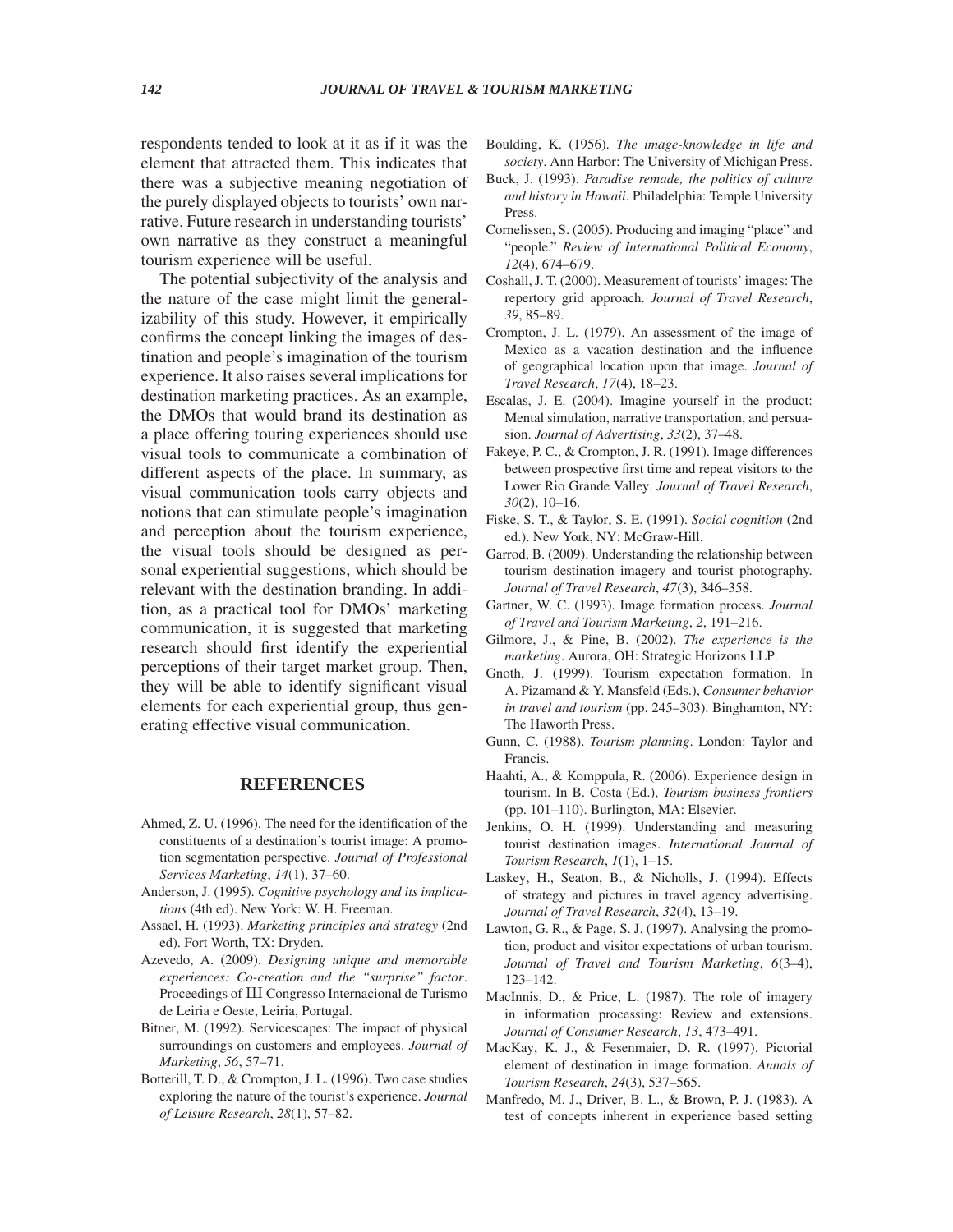respondents tended to look at it as if it was the element that attracted them. This indicates that there was a subjective meaning negotiation of the purely displayed objects to tourists' own narrative. Future research in understanding tourists' own narrative as they construct a meaningful tourism experience will be useful.

The potential subjectivity of the analysis and the nature of the case might limit the generalizability of this study. However, it empirically confirms the concept linking the images of destination and people's imagination of the tourism experience. It also raises several implications for destination marketing practices. As an example, the DMOs that would brand its destination as a place offering touring experiences should use visual tools to communicate a combination of different aspects of the place. In summary, as visual communication tools carry objects and notions that can stimulate people's imagination and perception about the tourism experience, the visual tools should be designed as personal experiential suggestions, which should be relevant with the destination branding. In addition, as a practical tool for DMOs' marketing communication, it is suggested that marketing research should first identify the experiential perceptions of their target market group. Then, they will be able to identify significant visual elements for each experiential group, thus generating effective visual communication.

#### **REFERENCES**

- Ahmed, Z. U. (1996). The need for the identification of the constituents of a destination's tourist image: A promotion segmentation perspective. *Journal of Professional Services Marketing*, *14*(1), 37–60.
- Anderson, J. (1995). *Cognitive psychology and its implications* (4th ed). New York: W. H. Freeman.
- Assael, H. (1993). *Marketing principles and strategy* (2nd ed). Fort Worth, TX: Dryden.
- Azevedo, A. (2009). *Designing unique and memorable experiences: Co-creation and the "surprise" factor*. Proceedings of III Congresso Internacional de Turismo de Leiria e Oeste, Leiria, Portugal.
- Bitner, M. (1992). Servicescapes: The impact of physical surroundings on customers and employees. *Journal of Marketing*, *56*, 57–71.
- Botterill, T. D., & Crompton, J. L. (1996). Two case studies exploring the nature of the tourist's experience. *Journal of Leisure Research*, *28*(1), 57–82.
- Boulding, K. (1956). *The image-knowledge in life and society*. Ann Harbor: The University of Michigan Press.
- Buck, J. (1993). *Paradise remade, the politics of culture and history in Hawaii*. Philadelphia: Temple University Press.
- Cornelissen, S. (2005). Producing and imaging "place" and "people." *Review of International Political Economy*, *12*(4), 674–679.
- Coshall, J. T. (2000). Measurement of tourists' images: The repertory grid approach. *Journal of Travel Research*, *39*, 85–89.
- Crompton, J. L. (1979). An assessment of the image of Mexico as a vacation destination and the influence of geographical location upon that image. *Journal of Travel Research*, *17*(4), 18–23.
- Escalas, J. E. (2004). Imagine yourself in the product: Mental simulation, narrative transportation, and persuasion. *Journal of Advertising*, *33*(2), 37–48.
- Fakeye, P. C., & Crompton, J. R. (1991). Image differences between prospective first time and repeat visitors to the Lower Rio Grande Valley. *Journal of Travel Research*, *30*(2), 10–16.
- Fiske, S. T., & Taylor, S. E. (1991). *Social cognition* (2nd ed.). New York, NY: McGraw-Hill.
- Garrod, B. (2009). Understanding the relationship between tourism destination imagery and tourist photography. *Journal of Travel Research*, *47*(3), 346–358.
- Gartner, W. C. (1993). Image formation process. *Journal of Travel and Tourism Marketing*, *2*, 191–216.
- Gilmore, J., & Pine, B. (2002). *The experience is the marketing*. Aurora, OH: Strategic Horizons LLP.
- Gnoth, J. (1999). Tourism expectation formation. In A. Pizamand & Y. Mansfeld (Eds.), *Consumer behavior in travel and tourism* (pp. 245–303). Binghamton, NY: The Haworth Press.
- Gunn, C. (1988). *Tourism planning*. London: Taylor and Francis.
- Haahti, A., & Komppula, R. (2006). Experience design in tourism. In B. Costa (Ed.), *Tourism business frontiers* (pp. 101–110). Burlington, MA: Elsevier.
- Jenkins, O. H. (1999). Understanding and measuring tourist destination images. *International Journal of Tourism Research*, *1*(1), 1–15.
- Laskey, H., Seaton, B., & Nicholls, J. (1994). Effects of strategy and pictures in travel agency advertising. *Journal of Travel Research*, *32*(4), 13–19.
- Lawton, G. R., & Page, S. J. (1997). Analysing the promotion, product and visitor expectations of urban tourism. *Journal of Travel and Tourism Marketing*, *6*(3–4), 123–142.
- MacInnis, D., & Price, L. (1987). The role of imagery in information processing: Review and extensions. *Journal of Consumer Research*, *13*, 473–491.
- MacKay, K. J., & Fesenmaier, D. R. (1997). Pictorial element of destination in image formation. *Annals of Tourism Research*, *24*(3), 537–565.
- Manfredo, M. J., Driver, B. L., & Brown, P. J. (1983). A test of concepts inherent in experience based setting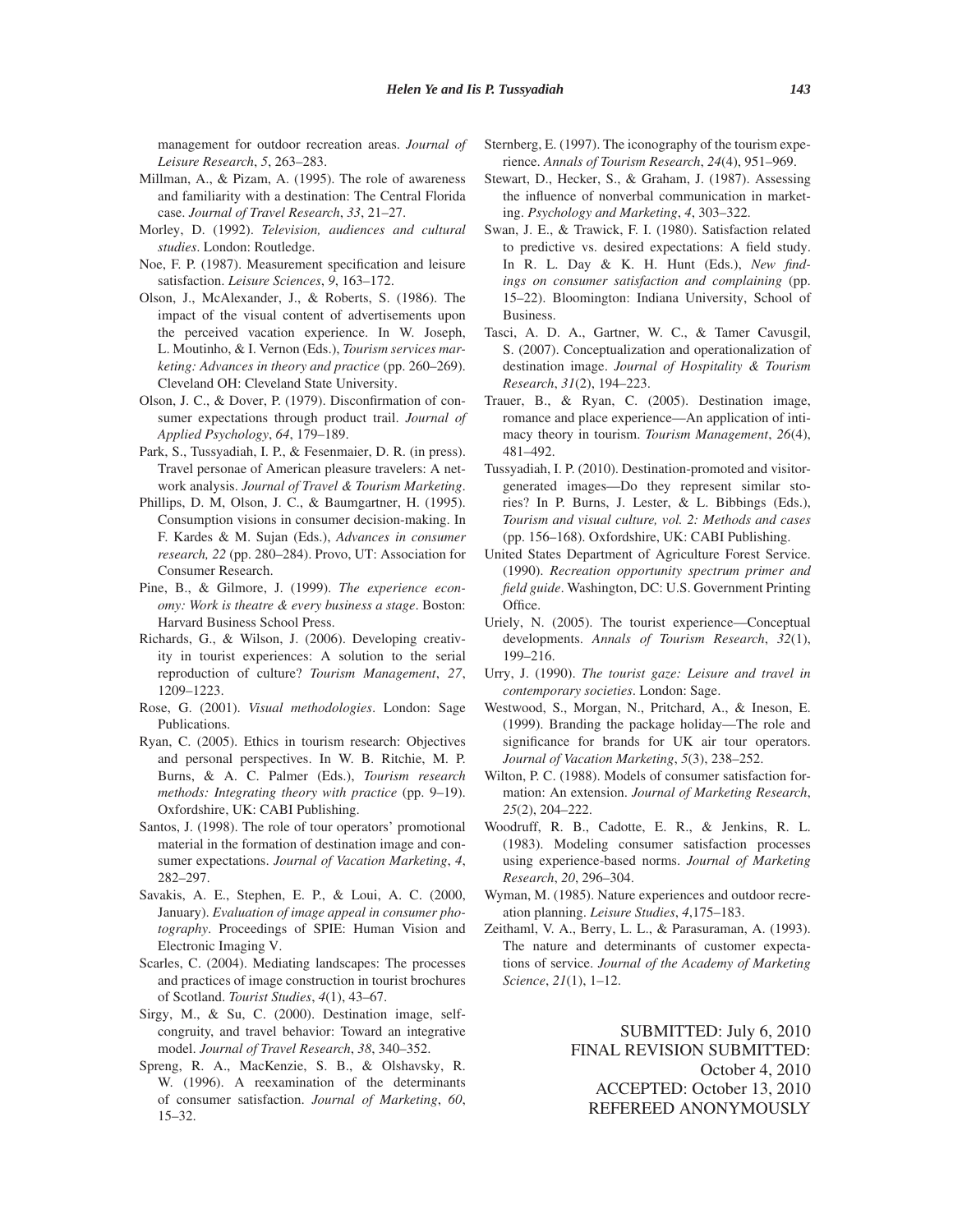management for outdoor recreation areas. *Journal of Leisure Research*, *5*, 263–283.

- Millman, A., & Pizam, A. (1995). The role of awareness and familiarity with a destination: The Central Florida case. *Journal of Travel Research*, *33*, 21–27.
- Morley, D. (1992). *Television, audiences and cultural studies*. London: Routledge.
- Noe, F. P. (1987). Measurement specification and leisure satisfaction. *Leisure Sciences*, *9*, 163–172.
- Olson, J., McAlexander, J., & Roberts, S. (1986). The impact of the visual content of advertisements upon the perceived vacation experience. In W. Joseph, L. Moutinho, & I. Vernon (Eds.), *Tourism services marketing: Advances in theory and practice* (pp. 260–269). Cleveland OH: Cleveland State University.
- Olson, J. C., & Dover, P. (1979). Disconfirmation of consumer expectations through product trail. *Journal of Applied Psychology*, *64*, 179–189.
- Park, S., Tussyadiah, I. P., & Fesenmaier, D. R. (in press). Travel personae of American pleasure travelers: A network analysis. *Journal of Travel & Tourism Marketing*.
- Phillips, D. M, Olson, J. C., & Baumgartner, H. (1995). Consumption visions in consumer decision-making. In F. Kardes & M. Sujan (Eds.), *Advances in consumer research, 22* (pp. 280–284). Provo, UT: Association for Consumer Research.
- Pine, B., & Gilmore, J. (1999). *The experience economy: Work is theatre & every business a stage*. Boston: Harvard Business School Press.
- Richards, G., & Wilson, J. (2006). Developing creativity in tourist experiences: A solution to the serial reproduction of culture? *Tourism Management*, *27*, 1209–1223.
- Rose, G. (2001). *Visual methodologies*. London: Sage Publications.
- Ryan, C. (2005). Ethics in tourism research: Objectives and personal perspectives. In W. B. Ritchie, M. P. Burns, & A. C. Palmer (Eds.), *Tourism research methods: Integrating theory with practice* (pp. 9–19). Oxfordshire, UK: CABI Publishing.
- Santos, J. (1998). The role of tour operators' promotional material in the formation of destination image and consumer expectations. *Journal of Vacation Marketing*, *4*, 282–297.
- Savakis, A. E., Stephen, E. P., & Loui, A. C. (2000, January). *Evaluation of image appeal in consumer photography*. Proceedings of SPIE: Human Vision and Electronic Imaging V.
- Scarles, C. (2004). Mediating landscapes: The processes and practices of image construction in tourist brochures of Scotland. *Tourist Studies*, *4*(1), 43–67.
- Sirgy, M., & Su, C. (2000). Destination image, selfcongruity, and travel behavior: Toward an integrative model. *Journal of Travel Research*, *38*, 340–352.
- Spreng, R. A., MacKenzie, S. B., & Olshavsky, R. W. (1996). A reexamination of the determinants of consumer satisfaction. *Journal of Marketing*, *60*, 15–32.
- Sternberg, E. (1997). The iconography of the tourism experience. *Annals of Tourism Research*, *24*(4), 951–969.
- Stewart, D., Hecker, S., & Graham, J. (1987). Assessing the influence of nonverbal communication in marketing. *Psychology and Marketing*, *4*, 303–322.
- Swan, J. E., & Trawick, F. I. (1980). Satisfaction related to predictive vs. desired expectations: A field study. In R. L. Day & K. H. Hunt (Eds.), *New findings on consumer satisfaction and complaining* (pp. 15–22). Bloomington: Indiana University, School of Business.
- Tasci, A. D. A., Gartner, W. C., & Tamer Cavusgil, S. (2007). Conceptualization and operationalization of destination image. *Journal of Hospitality & Tourism Research*, *31*(2), 194–223.
- Trauer, B., & Ryan, C. (2005). Destination image, romance and place experience—An application of intimacy theory in tourism. *Tourism Management*, *26*(4), 481–492.
- Tussyadiah, I. P. (2010). Destination-promoted and visitorgenerated images—Do they represent similar stories? In P. Burns, J. Lester, & L. Bibbings (Eds.), *Tourism and visual culture, vol. 2: Methods and cases* (pp. 156–168). Oxfordshire, UK: CABI Publishing.
- United States Department of Agriculture Forest Service. (1990). *Recreation opportunity spectrum primer and field guide*. Washington, DC: U.S. Government Printing Office.
- Uriely, N. (2005). The tourist experience—Conceptual developments. *Annals of Tourism Research*, *32*(1), 199–216.
- Urry, J. (1990). *The tourist gaze: Leisure and travel in contemporary societies*. London: Sage.
- Westwood, S., Morgan, N., Pritchard, A., & Ineson, E. (1999). Branding the package holiday—The role and significance for brands for UK air tour operators. *Journal of Vacation Marketing*, *5*(3), 238–252.
- Wilton, P. C. (1988). Models of consumer satisfaction formation: An extension. *Journal of Marketing Research*, *25*(2), 204–222.
- Woodruff, R. B., Cadotte, E. R., & Jenkins, R. L. (1983). Modeling consumer satisfaction processes using experience-based norms. *Journal of Marketing Research*, *20*, 296–304.
- Wyman, M. (1985). Nature experiences and outdoor recreation planning. *Leisure Studies*, *4*,175–183.
- Zeithaml, V. A., Berry, L. L., & Parasuraman, A. (1993). The nature and determinants of customer expectations of service. *Journal of the Academy of Marketing Science*, *21*(1), 1–12.

SUBMITTED: July 6, 2010 FINAL REVISION SUBMITTED: October 4, 2010 ACCEPTED: October 13, 2010 REFEREED ANONYMOUSLY